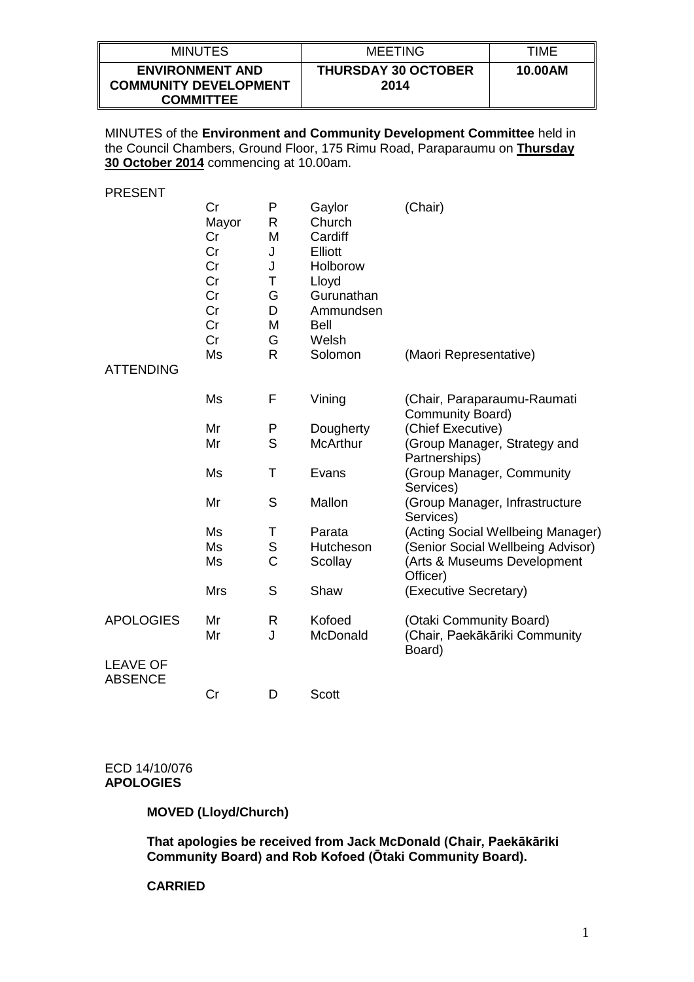| <b>MINUTES</b>                                                             | <b>MEETING</b>                     | TIME    |
|----------------------------------------------------------------------------|------------------------------------|---------|
| <b>ENVIRONMENT AND</b><br><b>COMMUNITY DEVELOPMENT</b><br><b>COMMITTEE</b> | <b>THURSDAY 30 OCTOBER</b><br>2014 | 10.00AM |

MINUTES of the **Environment and Community Development Committee** held in the Council Chambers, Ground Floor, 175 Rimu Road, Paraparaumu on **Thursday 30 October 2014** commencing at 10.00am.

| <b>PRESENT</b>                    |                                                                   |                                                                |                                                                                                                           |                                                                    |
|-----------------------------------|-------------------------------------------------------------------|----------------------------------------------------------------|---------------------------------------------------------------------------------------------------------------------------|--------------------------------------------------------------------|
|                                   | Cr<br>Mayor<br>Cr<br>Cr<br>Cr<br>Cr<br>Cr<br>Cr<br>Cr<br>Cr<br>Ms | P<br>R<br>M<br>J<br>J<br>Τ<br>G<br>D<br>M<br>G<br>$\mathsf{R}$ | Gaylor<br>Church<br>Cardiff<br>Elliott<br>Holborow<br>Lloyd<br>Gurunathan<br>Ammundsen<br><b>Bell</b><br>Welsh<br>Solomon | (Chair)<br>(Maori Representative)                                  |
| <b>ATTENDING</b>                  |                                                                   |                                                                |                                                                                                                           |                                                                    |
|                                   | Ms                                                                | F                                                              | Vining                                                                                                                    | (Chair, Paraparaumu-Raumati<br>Community Board)                    |
|                                   | Mr                                                                | P                                                              | Dougherty                                                                                                                 | (Chief Executive)                                                  |
|                                   | Mr                                                                | S                                                              | <b>McArthur</b>                                                                                                           | (Group Manager, Strategy and<br>Partnerships)                      |
|                                   | Ms                                                                | T                                                              | Evans                                                                                                                     | (Group Manager, Community<br>Services)                             |
|                                   | Mr                                                                | S                                                              | Mallon                                                                                                                    | (Group Manager, Infrastructure<br>Services)                        |
|                                   | Ms                                                                | Τ                                                              | Parata                                                                                                                    | (Acting Social Wellbeing Manager)                                  |
|                                   | Ms                                                                | S                                                              | Hutcheson                                                                                                                 | (Senior Social Wellbeing Advisor)                                  |
|                                   | Ms                                                                | $\mathsf C$                                                    | Scollay                                                                                                                   | (Arts & Museums Development<br>Officer)                            |
|                                   | <b>Mrs</b>                                                        | S                                                              | Shaw                                                                                                                      | (Executive Secretary)                                              |
| <b>APOLOGIES</b>                  | Mr<br>Mr                                                          | $\mathsf{R}$<br>J                                              | Kofoed<br>McDonald                                                                                                        | (Otaki Community Board)<br>(Chair, Paekākāriki Community<br>Board) |
| <b>LEAVE OF</b><br><b>ABSENCE</b> |                                                                   |                                                                |                                                                                                                           |                                                                    |
|                                   | Cr                                                                | D                                                              | <b>Scott</b>                                                                                                              |                                                                    |

#### ECD 14/10/076 **APOLOGIES**

# **MOVED (Lloyd/Church)**

**That apologies be received from Jack McDonald (Chair, Paekākāriki Community Board) and Rob Kofoed (Ōtaki Community Board).**

#### **CARRIED**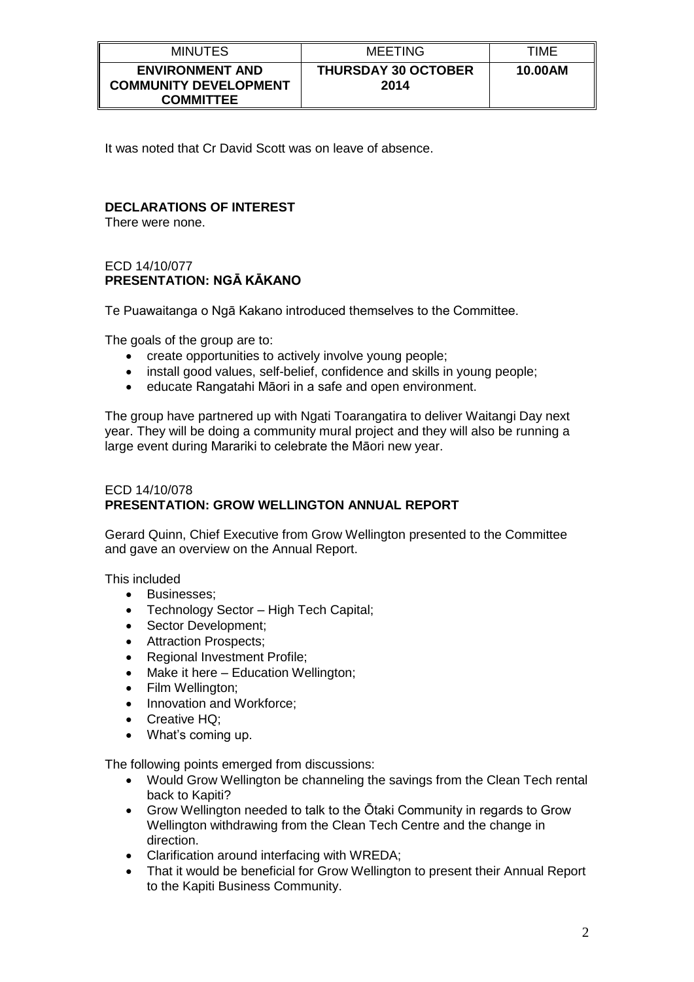| <b>MINUTES</b>                                                             | <b>MEETING</b>                     | TIME    |
|----------------------------------------------------------------------------|------------------------------------|---------|
| <b>ENVIRONMENT AND</b><br><b>COMMUNITY DEVELOPMENT</b><br><b>COMMITTEE</b> | <b>THURSDAY 30 OCTOBER</b><br>2014 | 10.00AM |

It was noted that Cr David Scott was on leave of absence.

# **DECLARATIONS OF INTEREST**

There were none.

### ECD 14/10/077 **PRESENTATION: NGĀ KĀKANO**

Te Puawaitanga o Ngā Kakano introduced themselves to the Committee.

The goals of the group are to:

- create opportunities to actively involve young people;
- install good values, self-belief, confidence and skills in young people;
- educate Rangatahi Māori in a safe and open environment.

The group have partnered up with Ngati Toarangatira to deliver Waitangi Day next year. They will be doing a community mural project and they will also be running a large event during Marariki to celebrate the Māori new year.

### ECD 14/10/078 **PRESENTATION: GROW WELLINGTON ANNUAL REPORT**

Gerard Quinn, Chief Executive from Grow Wellington presented to the Committee and gave an overview on the Annual Report.

This included

- Businesses:
- Technology Sector High Tech Capital;
- 
- Sector Development;<br>• Attraction Prospects: Attraction Prospects;
- Regional Investment Profile;
- Make it here Education Wellington;
- Film Wellington;
- Innovation and Workforce:
- Creative HQ;
- What's coming up.

The following points emerged from discussions:

- Would Grow Wellington be channeling the savings from the Clean Tech rental back to Kapiti?
- Grow Wellington needed to talk to the Ōtaki Community in regards to Grow Wellington withdrawing from the Clean Tech Centre and the change in direction.
- Clarification around interfacing with WREDA;
- That it would be beneficial for Grow Wellington to present their Annual Report to the Kapiti Business Community.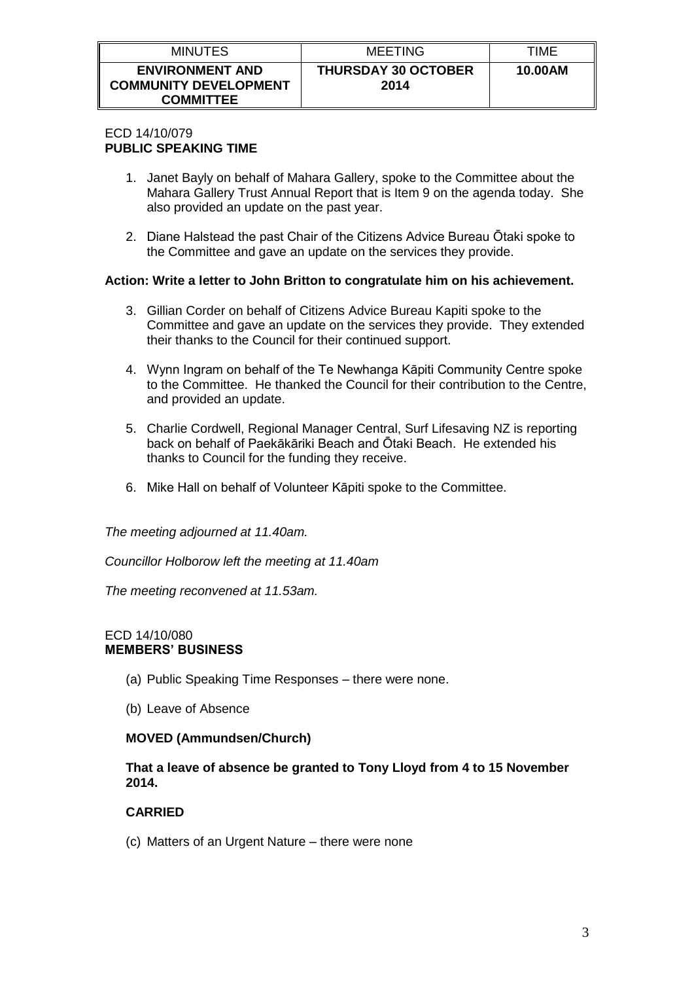| <b>MINUTES</b>                                                             | MEETING                            | TIME    |
|----------------------------------------------------------------------------|------------------------------------|---------|
| <b>ENVIRONMENT AND</b><br><b>COMMUNITY DEVELOPMENT</b><br><b>COMMITTEE</b> | <b>THURSDAY 30 OCTOBER</b><br>2014 | 10.00AM |

#### ECD 14/10/079 **PUBLIC SPEAKING TIME**

- 1. Janet Bayly on behalf of Mahara Gallery, spoke to the Committee about the Mahara Gallery Trust Annual Report that is Item 9 on the agenda today. She also provided an update on the past year.
- 2. Diane Halstead the past Chair of the Citizens Advice Bureau Ōtaki spoke to the Committee and gave an update on the services they provide.

# **Action: Write a letter to John Britton to congratulate him on his achievement.**

- 3. Gillian Corder on behalf of Citizens Advice Bureau Kapiti spoke to the Committee and gave an update on the services they provide. They extended their thanks to the Council for their continued support.
- 4. Wynn Ingram on behalf of the Te Newhanga Kāpiti Community Centre spoke to the Committee. He thanked the Council for their contribution to the Centre, and provided an update.
- 5. Charlie Cordwell, Regional Manager Central, Surf Lifesaving NZ is reporting back on behalf of Paekākāriki Beach and Ōtaki Beach. He extended his thanks to Council for the funding they receive.
- 6. Mike Hall on behalf of Volunteer Kāpiti spoke to the Committee.

*The meeting adjourned at 11.40am.*

*Councillor Holborow left the meeting at 11.40am*

*The meeting reconvened at 11.53am.*

#### ECD 14/10/080 **MEMBERS' BUSINESS**

- (a) Public Speaking Time Responses there were none.
- (b) Leave of Absence

### **MOVED (Ammundsen/Church)**

**That a leave of absence be granted to Tony Lloyd from 4 to 15 November 2014.**

### **CARRIED**

(c) Matters of an Urgent Nature – there were none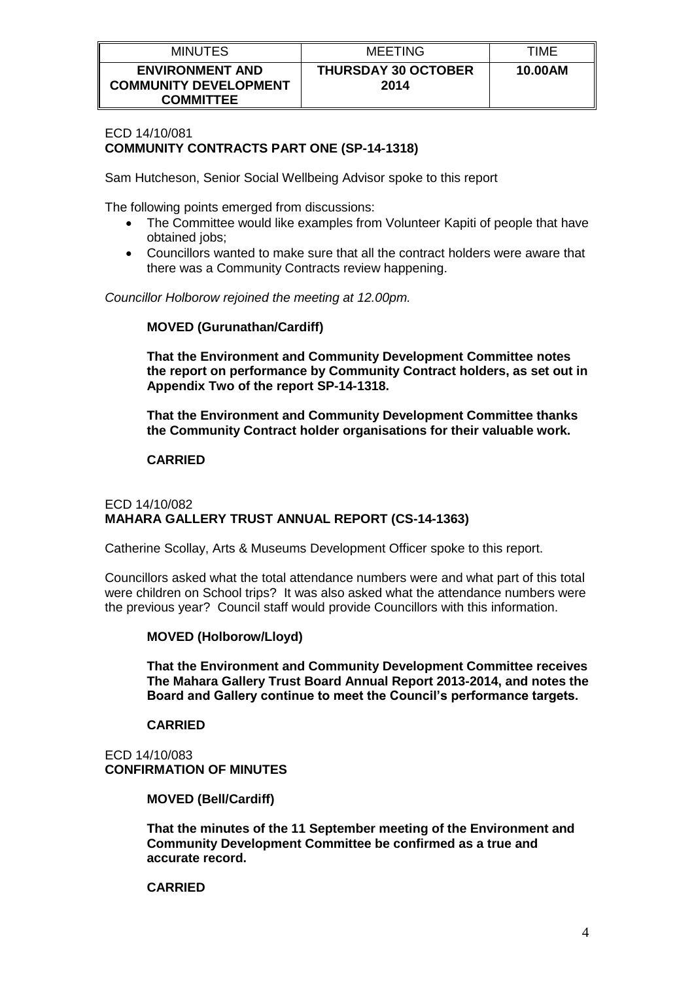| <b>MINUTES</b>                                                             | <b>MEETING</b>                     | TIME    |
|----------------------------------------------------------------------------|------------------------------------|---------|
| <b>ENVIRONMENT AND</b><br><b>COMMUNITY DEVELOPMENT</b><br><b>COMMITTEE</b> | <b>THURSDAY 30 OCTOBER</b><br>2014 | 10.00AM |

### ECD 14/10/081 **COMMUNITY CONTRACTS PART ONE (SP-14-1318)**

Sam Hutcheson, Senior Social Wellbeing Advisor spoke to this report

The following points emerged from discussions:

- The Committee would like examples from Volunteer Kapiti of people that have obtained jobs;
- Councillors wanted to make sure that all the contract holders were aware that there was a Community Contracts review happening.

*Councillor Holborow rejoined the meeting at 12.00pm.*

#### **MOVED (Gurunathan/Cardiff)**

**That the Environment and Community Development Committee notes the report on performance by Community Contract holders, as set out in Appendix Two of the report SP-14-1318.**

**That the Environment and Community Development Committee thanks the Community Contract holder organisations for their valuable work.**

#### **CARRIED**

### ECD 14/10/082 **MAHARA GALLERY TRUST ANNUAL REPORT (CS-14-1363)**

Catherine Scollay, Arts & Museums Development Officer spoke to this report.

Councillors asked what the total attendance numbers were and what part of this total were children on School trips? It was also asked what the attendance numbers were the previous year? Council staff would provide Councillors with this information.

### **MOVED (Holborow/Lloyd)**

**That the Environment and Community Development Committee receives The Mahara Gallery Trust Board Annual Report 2013-2014, and notes the Board and Gallery continue to meet the Council's performance targets.**

### **CARRIED**

ECD 14/10/083 **CONFIRMATION OF MINUTES**

**MOVED (Bell/Cardiff)**

**That the minutes of the 11 September meeting of the Environment and Community Development Committee be confirmed as a true and accurate record.**

#### **CARRIED**